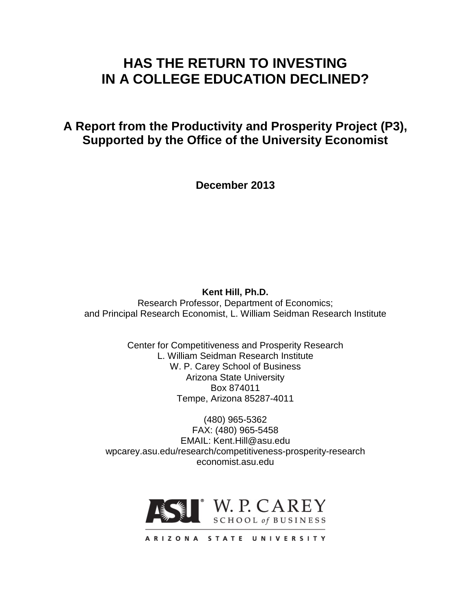# **HAS THE RETURN TO INVESTING IN A COLLEGE EDUCATION DECLINED?**

**A Report from the Productivity and Prosperity Project (P3), Supported by the Office of the University Economist**

**December 2013**

**Kent Hill, Ph.D.**

Research Professor, Department of Economics; and Principal Research Economist, L. William Seidman Research Institute

> Center for Competitiveness and Prosperity Research L. William Seidman Research Institute W. P. Carey School of Business Arizona State University Box 874011 Tempe, Arizona 85287-4011

(480) 965-5362 FAX: (480) 965-5458 EMAIL: Kent.Hill@asu.edu wpcarey.asu.edu/research/competitiveness-prosperity-research economist.asu.edu



ARIZONA STATE UNIVERSITY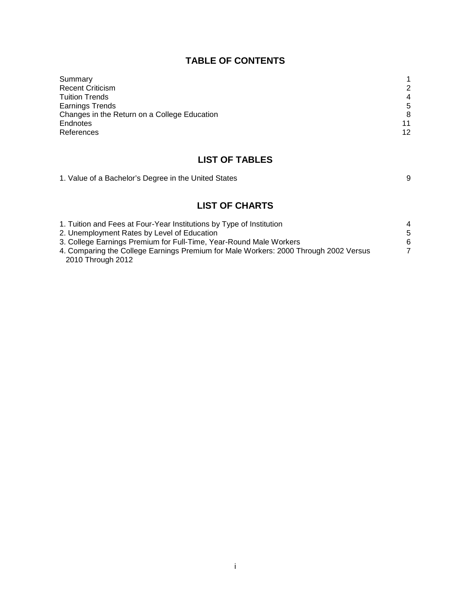# **TABLE OF CONTENTS**

| Summary                                      |                |
|----------------------------------------------|----------------|
| <b>Recent Criticism</b>                      | 2              |
| <b>Tuition Trends</b>                        | $\overline{4}$ |
| <b>Earnings Trends</b>                       | 5              |
| Changes in the Return on a College Education | 8              |
| Endnotes                                     | 11             |
| References                                   | 12             |

# **LIST OF TABLES**

| 1. Value of a Bachelor's Degree in the United States |  |
|------------------------------------------------------|--|
|------------------------------------------------------|--|

# **LIST OF CHARTS**

| 1. Tuition and Fees at Four-Year Institutions by Type of Institution                 | 4  |
|--------------------------------------------------------------------------------------|----|
| 2. Unemployment Rates by Level of Education                                          | -5 |
| 3. College Earnings Premium for Full-Time, Year-Round Male Workers                   | 6  |
| 4. Comparing the College Earnings Premium for Male Workers: 2000 Through 2002 Versus |    |
| 2010 Through 2012                                                                    |    |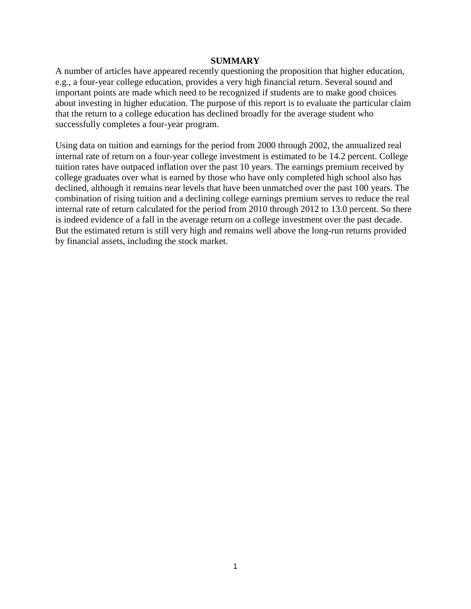#### **SUMMARY**

A number of articles have appeared recently questioning the proposition that higher education, e.g., a four-year college education, provides a very high financial return. Several sound and important points are made which need to be recognized if students are to make good choices about investing in higher education. The purpose of this report is to evaluate the particular claim that the return to a college education has declined broadly for the average student who successfully completes a four-year program.

Using data on tuition and earnings for the period from 2000 through 2002, the annualized real internal rate of return on a four-year college investment is estimated to be 14.2 percent. College tuition rates have outpaced inflation over the past 10 years. The earnings premium received by college graduates over what is earned by those who have only completed high school also has declined, although it remains near levels that have been unmatched over the past 100 years. The combination of rising tuition and a declining college earnings premium serves to reduce the real internal rate of return calculated for the period from 2010 through 2012 to 13.0 percent. So there is indeed evidence of a fall in the average return on a college investment over the past decade. But the estimated return is still very high and remains well above the long-run returns provided by financial assets, including the stock market.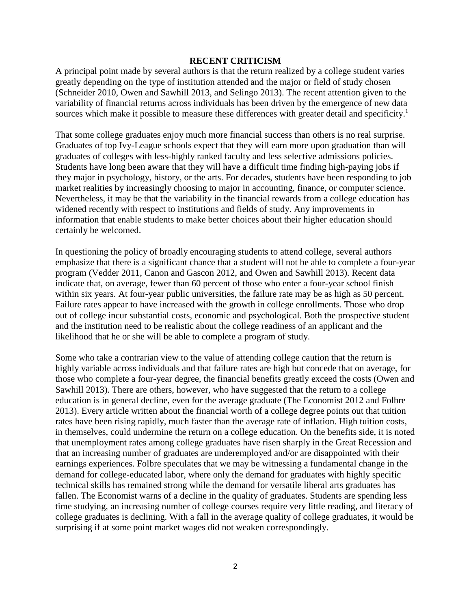#### **RECENT CRITICISM**

A principal point made by several authors is that the return realized by a college student varies greatly depending on the type of institution attended and the major or field of study chosen (Schneider 2010, Owen and Sawhill 2013, and Selingo 2013). The recent attention given to the variability of financial returns across individuals has been driven by the emergence of new data sources which make it possible to measure these differences with greater detail and specificity.<sup>1</sup>

That some college graduates enjoy much more financial success than others is no real surprise. Graduates of top Ivy-League schools expect that they will earn more upon graduation than will graduates of colleges with less-highly ranked faculty and less selective admissions policies. Students have long been aware that they will have a difficult time finding high-paying jobs if they major in psychology, history, or the arts. For decades, students have been responding to job market realities by increasingly choosing to major in accounting, finance, or computer science. Nevertheless, it may be that the variability in the financial rewards from a college education has widened recently with respect to institutions and fields of study. Any improvements in information that enable students to make better choices about their higher education should certainly be welcomed.

In questioning the policy of broadly encouraging students to attend college, several authors emphasize that there is a significant chance that a student will not be able to complete a four-year program (Vedder 2011, Canon and Gascon 2012, and Owen and Sawhill 2013). Recent data indicate that, on average, fewer than 60 percent of those who enter a four-year school finish within six years. At four-year public universities, the failure rate may be as high as 50 percent. Failure rates appear to have increased with the growth in college enrollments. Those who drop out of college incur substantial costs, economic and psychological. Both the prospective student and the institution need to be realistic about the college readiness of an applicant and the likelihood that he or she will be able to complete a program of study.

Some who take a contrarian view to the value of attending college caution that the return is highly variable across individuals and that failure rates are high but concede that on average, for those who complete a four-year degree, the financial benefits greatly exceed the costs (Owen and Sawhill 2013). There are others, however, who have suggested that the return to a college education is in general decline, even for the average graduate (The Economist 2012 and Folbre 2013). Every article written about the financial worth of a college degree points out that tuition rates have been rising rapidly, much faster than the average rate of inflation. High tuition costs, in themselves, could undermine the return on a college education. On the benefits side, it is noted that unemployment rates among college graduates have risen sharply in the Great Recession and that an increasing number of graduates are underemployed and/or are disappointed with their earnings experiences. Folbre speculates that we may be witnessing a fundamental change in the demand for college-educated labor, where only the demand for graduates with highly specific technical skills has remained strong while the demand for versatile liberal arts graduates has fallen. The Economist warns of a decline in the quality of graduates. Students are spending less time studying, an increasing number of college courses require very little reading, and literacy of college graduates is declining. With a fall in the average quality of college graduates, it would be surprising if at some point market wages did not weaken correspondingly.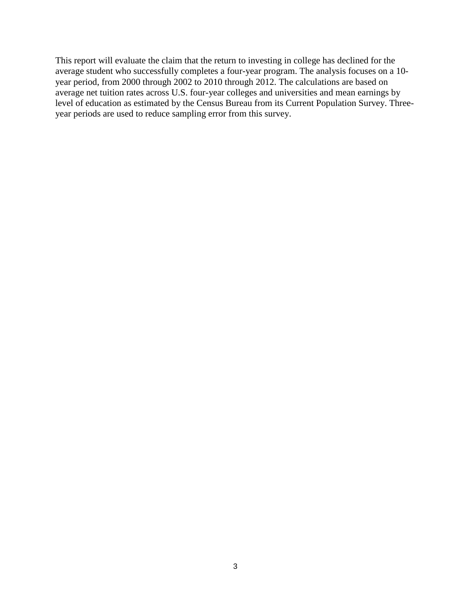This report will evaluate the claim that the return to investing in college has declined for the average student who successfully completes a four-year program. The analysis focuses on a 10 year period, from 2000 through 2002 to 2010 through 2012. The calculations are based on average net tuition rates across U.S. four-year colleges and universities and mean earnings by level of education as estimated by the Census Bureau from its Current Population Survey. Threeyear periods are used to reduce sampling error from this survey.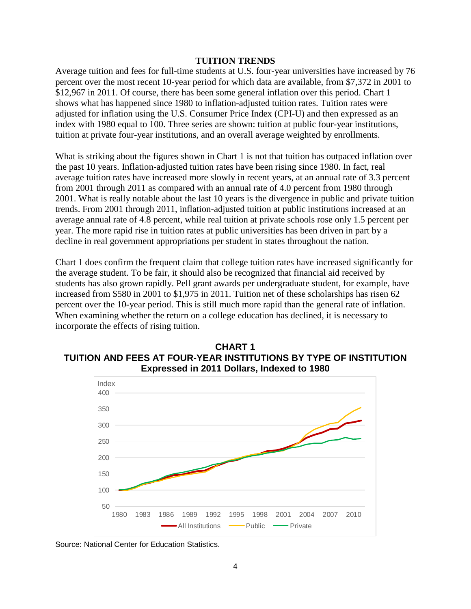#### **TUITION TRENDS**

Average tuition and fees for full-time students at U.S. four-year universities have increased by 76 percent over the most recent 10-year period for which data are available, from \$7,372 in 2001 to \$12,967 in 2011. Of course, there has been some general inflation over this period. Chart 1 shows what has happened since 1980 to inflation-adjusted tuition rates. Tuition rates were adjusted for inflation using the U.S. Consumer Price Index (CPI-U) and then expressed as an index with 1980 equal to 100. Three series are shown: tuition at public four-year institutions, tuition at private four-year institutions, and an overall average weighted by enrollments.

What is striking about the figures shown in Chart 1 is not that tuition has outpaced inflation over the past 10 years. Inflation-adjusted tuition rates have been rising since 1980. In fact, real average tuition rates have increased more slowly in recent years, at an annual rate of 3.3 percent from 2001 through 2011 as compared with an annual rate of 4.0 percent from 1980 through 2001. What is really notable about the last 10 years is the divergence in public and private tuition trends. From 2001 through 2011, inflation-adjusted tuition at public institutions increased at an average annual rate of 4.8 percent, while real tuition at private schools rose only 1.5 percent per year. The more rapid rise in tuition rates at public universities has been driven in part by a decline in real government appropriations per student in states throughout the nation.

Chart 1 does confirm the frequent claim that college tuition rates have increased significantly for the average student. To be fair, it should also be recognized that financial aid received by students has also grown rapidly. Pell grant awards per undergraduate student, for example, have increased from \$580 in 2001 to \$1,975 in 2011. Tuition net of these scholarships has risen 62 percent over the 10-year period. This is still much more rapid than the general rate of inflation. When examining whether the return on a college education has declined, it is necessary to incorporate the effects of rising tuition.





Source: National Center for Education Statistics.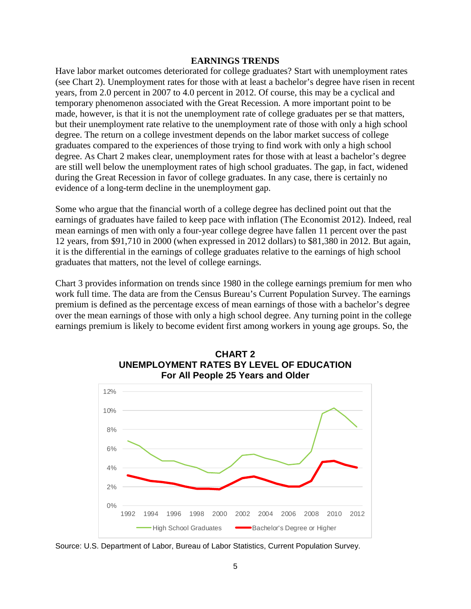## **EARNINGS TRENDS**

Have labor market outcomes deteriorated for college graduates? Start with unemployment rates (see Chart 2). Unemployment rates for those with at least a bachelor's degree have risen in recent years, from 2.0 percent in 2007 to 4.0 percent in 2012. Of course, this may be a cyclical and temporary phenomenon associated with the Great Recession. A more important point to be made, however, is that it is not the unemployment rate of college graduates per se that matters, but their unemployment rate relative to the unemployment rate of those with only a high school degree. The return on a college investment depends on the labor market success of college graduates compared to the experiences of those trying to find work with only a high school degree. As Chart 2 makes clear, unemployment rates for those with at least a bachelor's degree are still well below the unemployment rates of high school graduates. The gap, in fact, widened during the Great Recession in favor of college graduates. In any case, there is certainly no evidence of a long-term decline in the unemployment gap.

Some who argue that the financial worth of a college degree has declined point out that the earnings of graduates have failed to keep pace with inflation (The Economist 2012). Indeed, real mean earnings of men with only a four-year college degree have fallen 11 percent over the past 12 years, from \$91,710 in 2000 (when expressed in 2012 dollars) to \$81,380 in 2012. But again, it is the differential in the earnings of college graduates relative to the earnings of high school graduates that matters, not the level of college earnings.

Chart 3 provides information on trends since 1980 in the college earnings premium for men who work full time. The data are from the Census Bureau's Current Population Survey. The earnings premium is defined as the percentage excess of mean earnings of those with a bachelor's degree over the mean earnings of those with only a high school degree. Any turning point in the college earnings premium is likely to become evident first among workers in young age groups. So, the





Source: U.S. Department of Labor, Bureau of Labor Statistics, Current Population Survey.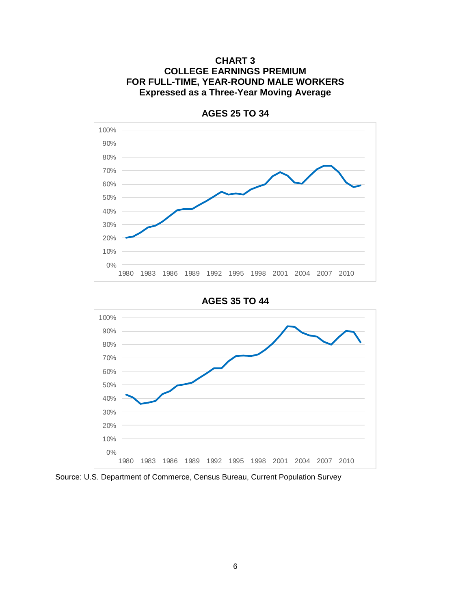



**AGES 25 TO 34**





Source: U.S. Department of Commerce, Census Bureau, Current Population Survey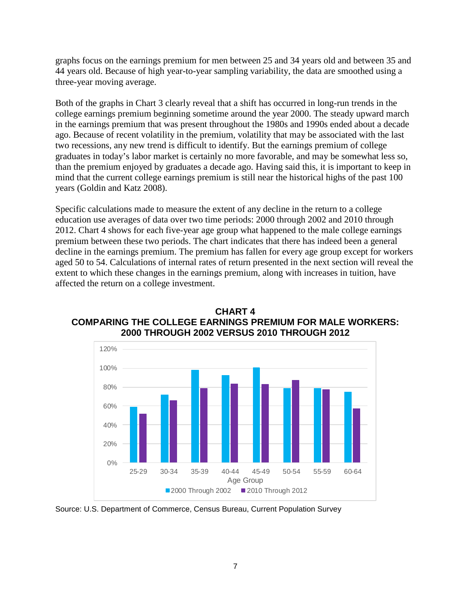graphs focus on the earnings premium for men between 25 and 34 years old and between 35 and 44 years old. Because of high year-to-year sampling variability, the data are smoothed using a three-year moving average.

Both of the graphs in Chart 3 clearly reveal that a shift has occurred in long-run trends in the college earnings premium beginning sometime around the year 2000. The steady upward march in the earnings premium that was present throughout the 1980s and 1990s ended about a decade ago. Because of recent volatility in the premium, volatility that may be associated with the last two recessions, any new trend is difficult to identify. But the earnings premium of college graduates in today's labor market is certainly no more favorable, and may be somewhat less so, than the premium enjoyed by graduates a decade ago. Having said this, it is important to keep in mind that the current college earnings premium is still near the historical highs of the past 100 years (Goldin and Katz 2008).

Specific calculations made to measure the extent of any decline in the return to a college education use averages of data over two time periods: 2000 through 2002 and 2010 through 2012. Chart 4 shows for each five-year age group what happened to the male college earnings premium between these two periods. The chart indicates that there has indeed been a general decline in the earnings premium. The premium has fallen for every age group except for workers aged 50 to 54. Calculations of internal rates of return presented in the next section will reveal the extent to which these changes in the earnings premium, along with increases in tuition, have affected the return on a college investment.



**CHART 4 COMPARING THE COLLEGE EARNINGS PREMIUM FOR MALE WORKERS: 2000 THROUGH 2002 VERSUS 2010 THROUGH 2012**

Source: U.S. Department of Commerce, Census Bureau, Current Population Survey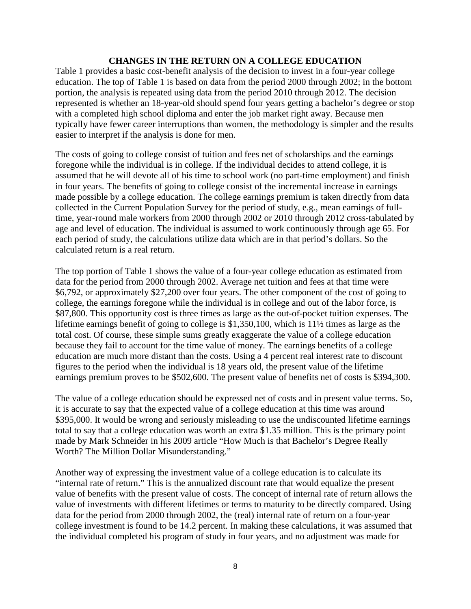## **CHANGES IN THE RETURN ON A COLLEGE EDUCATION**

Table 1 provides a basic cost-benefit analysis of the decision to invest in a four-year college education. The top of Table 1 is based on data from the period 2000 through 2002; in the bottom portion, the analysis is repeated using data from the period 2010 through 2012. The decision represented is whether an 18-year-old should spend four years getting a bachelor's degree or stop with a completed high school diploma and enter the job market right away. Because men typically have fewer career interruptions than women, the methodology is simpler and the results easier to interpret if the analysis is done for men.

The costs of going to college consist of tuition and fees net of scholarships and the earnings foregone while the individual is in college. If the individual decides to attend college, it is assumed that he will devote all of his time to school work (no part-time employment) and finish in four years. The benefits of going to college consist of the incremental increase in earnings made possible by a college education. The college earnings premium is taken directly from data collected in the Current Population Survey for the period of study, e.g., mean earnings of fulltime, year-round male workers from 2000 through 2002 or 2010 through 2012 cross-tabulated by age and level of education. The individual is assumed to work continuously through age 65. For each period of study, the calculations utilize data which are in that period's dollars. So the calculated return is a real return.

The top portion of Table 1 shows the value of a four-year college education as estimated from data for the period from 2000 through 2002. Average net tuition and fees at that time were \$6,792, or approximately \$27,200 over four years. The other component of the cost of going to college, the earnings foregone while the individual is in college and out of the labor force, is \$87,800. This opportunity cost is three times as large as the out-of-pocket tuition expenses. The lifetime earnings benefit of going to college is \$1,350,100, which is 11½ times as large as the total cost. Of course, these simple sums greatly exaggerate the value of a college education because they fail to account for the time value of money. The earnings benefits of a college education are much more distant than the costs. Using a 4 percent real interest rate to discount figures to the period when the individual is 18 years old, the present value of the lifetime earnings premium proves to be \$502,600. The present value of benefits net of costs is \$394,300.

The value of a college education should be expressed net of costs and in present value terms. So, it is accurate to say that the expected value of a college education at this time was around \$395,000. It would be wrong and seriously misleading to use the undiscounted lifetime earnings total to say that a college education was worth an extra \$1.35 million. This is the primary point made by Mark Schneider in his 2009 article "How Much is that Bachelor's Degree Really Worth? The Million Dollar Misunderstanding."

Another way of expressing the investment value of a college education is to calculate its "internal rate of return." This is the annualized discount rate that would equalize the present value of benefits with the present value of costs. The concept of internal rate of return allows the value of investments with different lifetimes or terms to maturity to be directly compared. Using data for the period from 2000 through 2002, the (real) internal rate of return on a four-year college investment is found to be 14.2 percent. In making these calculations, it was assumed that the individual completed his program of study in four years, and no adjustment was made for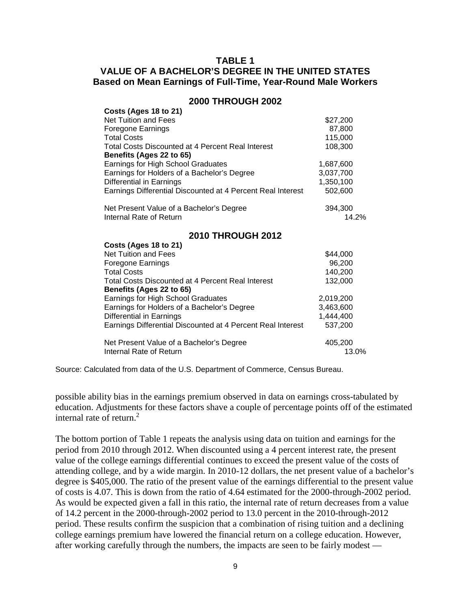# **TABLE 1 VALUE OF A BACHELOR'S DEGREE IN THE UNITED STATES Based on Mean Earnings of Full-Time, Year-Round Male Workers**

| Costs (Ages 18 to 21)                                       |           |
|-------------------------------------------------------------|-----------|
| Net Tuition and Fees                                        | \$27,200  |
| Foregone Earnings                                           | 87,800    |
| Total Costs                                                 | 115,000   |
| <b>Total Costs Discounted at 4 Percent Real Interest</b>    | 108,300   |
| Benefits (Ages 22 to 65)                                    |           |
| Earnings for High School Graduates                          | 1,687,600 |
| Earnings for Holders of a Bachelor's Degree                 | 3,037,700 |
| Differential in Earnings                                    | 1,350,100 |
| Earnings Differential Discounted at 4 Percent Real Interest | 502,600   |
| Net Present Value of a Bachelor's Degree                    | 394,300   |
| Internal Rate of Return                                     | 14.2%     |
| <b>2010 THROUGH 2012</b>                                    |           |
| Costs (Ages 18 to 21)                                       |           |
| Net Tuition and Fees                                        | \$44,000  |
| Foregone Earnings                                           | 96,200    |
| Total Costs                                                 | 140,200   |
| Total Costs Discounted at 4 Percent Real Interest           | 132,000   |

#### **2000 THROUGH 2002**

Source: Calculated from data of the U.S. Department of Commerce, Census Bureau.

Earnings Differential Discounted at 4 Percent Real Interest

**Benefits (Ages 22 to 65)**

Internal Rate of Return

possible ability bias in the earnings premium observed in data on earnings cross-tabulated by education. Adjustments for these factors shave a couple of percentage points off of the estimated internal rate of return.<sup>2</sup>

Net Present Value of a Bachelor's Degree 405,200<br>13.0% anternal Rate of Return

Earnings for High School Graduates 2,019,200 Earnings for Holders of a Bachelor's Degree 3,463,600 Differential in Earnings<br>Earnings Differential Discounted at 4 Percent Real Interest 537,200

The bottom portion of Table 1 repeats the analysis using data on tuition and earnings for the period from 2010 through 2012. When discounted using a 4 percent interest rate, the present value of the college earnings differential continues to exceed the present value of the costs of attending college, and by a wide margin. In 2010-12 dollars, the net present value of a bachelor's degree is \$405,000. The ratio of the present value of the earnings differential to the present value of costs is 4.07. This is down from the ratio of 4.64 estimated for the 2000-through-2002 period. As would be expected given a fall in this ratio, the internal rate of return decreases from a value of 14.2 percent in the 2000-through-2002 period to 13.0 percent in the 2010-through-2012 period. These results confirm the suspicion that a combination of rising tuition and a declining college earnings premium have lowered the financial return on a college education. However, after working carefully through the numbers, the impacts are seen to be fairly modest —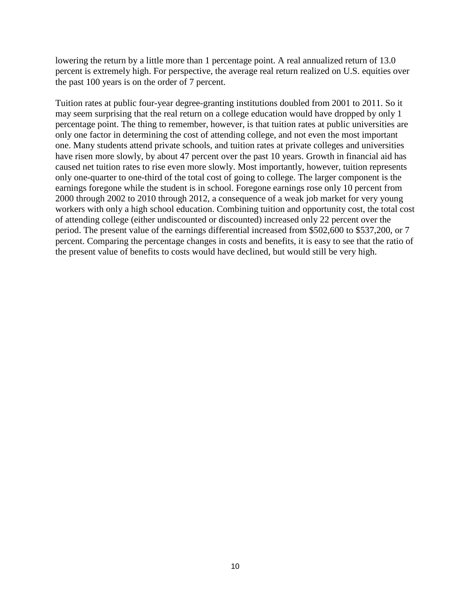lowering the return by a little more than 1 percentage point. A real annualized return of 13.0 percent is extremely high. For perspective, the average real return realized on U.S. equities over the past 100 years is on the order of 7 percent.

Tuition rates at public four-year degree-granting institutions doubled from 2001 to 2011. So it may seem surprising that the real return on a college education would have dropped by only 1 percentage point. The thing to remember, however, is that tuition rates at public universities are only one factor in determining the cost of attending college, and not even the most important one. Many students attend private schools, and tuition rates at private colleges and universities have risen more slowly, by about 47 percent over the past 10 years. Growth in financial aid has caused net tuition rates to rise even more slowly. Most importantly, however, tuition represents only one-quarter to one-third of the total cost of going to college. The larger component is the earnings foregone while the student is in school. Foregone earnings rose only 10 percent from 2000 through 2002 to 2010 through 2012, a consequence of a weak job market for very young workers with only a high school education. Combining tuition and opportunity cost, the total cost of attending college (either undiscounted or discounted) increased only 22 percent over the period. The present value of the earnings differential increased from \$502,600 to \$537,200, or 7 percent. Comparing the percentage changes in costs and benefits, it is easy to see that the ratio of the present value of benefits to costs would have declined, but would still be very high.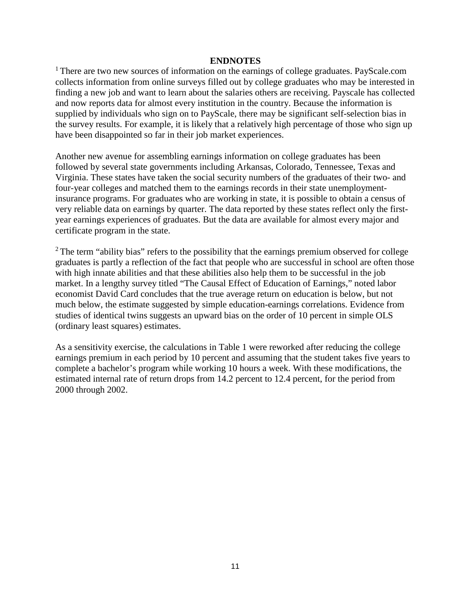### **ENDNOTES**

<sup>1</sup> There are two new sources of information on the earnings of college graduates. PayScale.com collects information from online surveys filled out by college graduates who may be interested in finding a new job and want to learn about the salaries others are receiving. Payscale has collected and now reports data for almost every institution in the country. Because the information is supplied by individuals who sign on to PayScale, there may be significant self-selection bias in the survey results. For example, it is likely that a relatively high percentage of those who sign up have been disappointed so far in their job market experiences.

Another new avenue for assembling earnings information on college graduates has been followed by several state governments including Arkansas, Colorado, Tennessee, Texas and Virginia. These states have taken the social security numbers of the graduates of their two- and four-year colleges and matched them to the earnings records in their state unemploymentinsurance programs. For graduates who are working in state, it is possible to obtain a census of very reliable data on earnings by quarter. The data reported by these states reflect only the firstyear earnings experiences of graduates. But the data are available for almost every major and certificate program in the state.

 $2$  The term "ability bias" refers to the possibility that the earnings premium observed for college graduates is partly a reflection of the fact that people who are successful in school are often those with high innate abilities and that these abilities also help them to be successful in the job market. In a lengthy survey titled "The Causal Effect of Education of Earnings," noted labor economist David Card concludes that the true average return on education is below, but not much below, the estimate suggested by simple education-earnings correlations. Evidence from studies of identical twins suggests an upward bias on the order of 10 percent in simple OLS (ordinary least squares) estimates.

As a sensitivity exercise, the calculations in Table 1 were reworked after reducing the college earnings premium in each period by 10 percent and assuming that the student takes five years to complete a bachelor's program while working 10 hours a week. With these modifications, the estimated internal rate of return drops from 14.2 percent to 12.4 percent, for the period from 2000 through 2002.